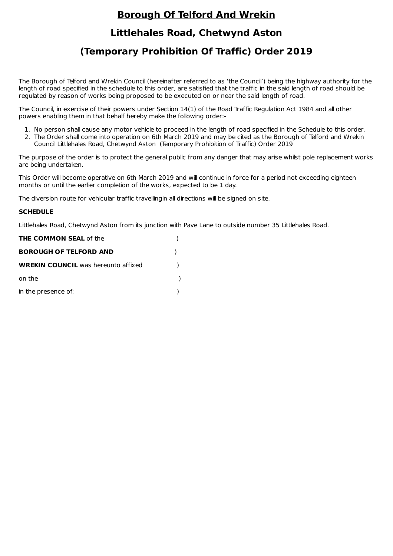## **Borough Of Telford And Wrekin**

## **Littlehales Road, Chetwynd Aston**

## **(Temporary Prohibition Of Traffic) Order 2019**

The Borough of Telford and Wrekin Council (hereinafter referred to as 'the Council') being the highway authority for the length of road specified in the schedule to this order, are satisfied that the traffic in the said length of road should be regulated by reason of works being proposed to be executed on or near the said length of road.

The Council, in exercise of their powers under Section 14(1) of the Road Traffic Regulation Act 1984 and all other powers enabling them in that behalf hereby make the following order:-

- 1. No person shall cause any motor vehicle to proceed in the length of road specified in the Schedule to this order.
- 2. The Order shall come into operation on 6th March 2019 and may be cited as the Borough of Telford and Wrekin Council Littlehales Road, Chetwynd Aston (Temporary Prohibition of Traffic) Order 2019

The purpose of the order is to protect the general public from any danger that may arise whilst pole replacement works are being undertaken.

This Order will become operative on 6th March 2019 and will continue in force for a period not exceeding eighteen months or until the earlier completion of the works, expected to be 1 day.

The diversion route for vehicular traffic travellingin all directions will be signed on site.

## **SCHEDULE**

Littlehales Road, Chetwynd Aston from its junction with Pave Lane to outside number 35 Littlehales Road.

| <b>THE COMMON SEAL of the</b>              |  |
|--------------------------------------------|--|
| <b>BOROUGH OF TELFORD AND</b>              |  |
| <b>WREKIN COUNCIL</b> was hereunto affixed |  |
| on the                                     |  |
| in the presence of:                        |  |